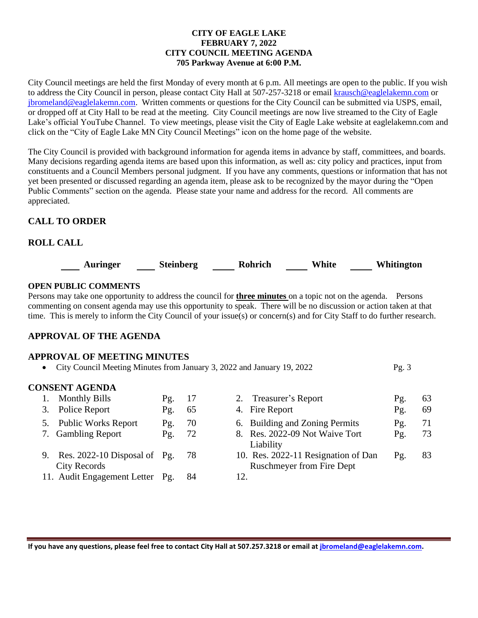#### **CITY OF EAGLE LAKE FEBRUARY 7, 2022 CITY COUNCIL MEETING AGENDA 705 Parkway Avenue at 6:00 P.M.**

City Council meetings are held the first Monday of every month at 6 p.m. All meetings are open to the public. If you wish to address the City Council in person, please contact City Hall at 507-257-3218 or emai[l krausch@eaglelakemn.com](mailto:krausch@eaglelakemn.com) or [jbromeland@eaglelakemn.com.](mailto:jbromeland@eaglelakemn.com) Written comments or questions for the City Council can be submitted via USPS, email, or dropped off at City Hall to be read at the meeting. City Council meetings are now live streamed to the City of Eagle Lake's official YouTube Channel. To view meetings, please visit the City of Eagle Lake website at eaglelakemn.com and click on the "City of Eagle Lake MN City Council Meetings" icon on the home page of the website.

The City Council is provided with background information for agenda items in advance by staff, committees, and boards. Many decisions regarding agenda items are based upon this information, as well as: city policy and practices, input from constituents and a Council Members personal judgment. If you have any comments, questions or information that has not yet been presented or discussed regarding an agenda item, please ask to be recognized by the mayor during the "Open Public Comments" section on the agenda. Please state your name and address for the record. All comments are appreciated.

## **CALL TO ORDER**

# **ROLL CALL**



### **OPEN PUBLIC COMMENTS**

Persons may take one opportunity to address the council for **three minutes** on a topic not on the agenda. Persons commenting on consent agenda may use this opportunity to speak. There will be no discussion or action taken at that time. This is merely to inform the City Council of your issue(s) or concern(s) and for City Staff to do further research.

## **APPROVAL OF THE AGENDA**

#### **APPROVAL OF MEETING MINUTES**

• City Council Meeting Minutes from January 3, 2022 and January 19, 2022 Pg. 3

#### **CONSENT AGENDA**

| 1. Monthly Bills                                         | Pg. | 17  | 2. Treasurer's Report                                                   | Pg. | 63 |
|----------------------------------------------------------|-----|-----|-------------------------------------------------------------------------|-----|----|
| 3. Police Report                                         | Pg. | 65  | 4. Fire Report                                                          | Pg. | 69 |
| 5. Public Works Report                                   | Pg. | 70  | 6. Building and Zoning Permits                                          | Pg. | 71 |
| 7. Gambling Report                                       | Pg. | 72  | 8. Res. 2022-09 Not Waive Tort<br>Liability                             | Pg. | 73 |
| 9. Res. $2022-10$ Disposal of Pg.<br><b>City Records</b> |     | -78 | 10. Res. 2022-11 Resignation of Dan<br><b>Ruschmeyer from Fire Dept</b> | Pg. | 83 |
| 11. Audit Engagement Letter Pg.                          |     | 84  | 12.                                                                     |     |    |

**If you have any questions, please feel free to contact City Hall at 507.257.3218 or email at [jbromeland@eaglelakemn.com.](mailto:jbromeland@eaglelakemn.com)**